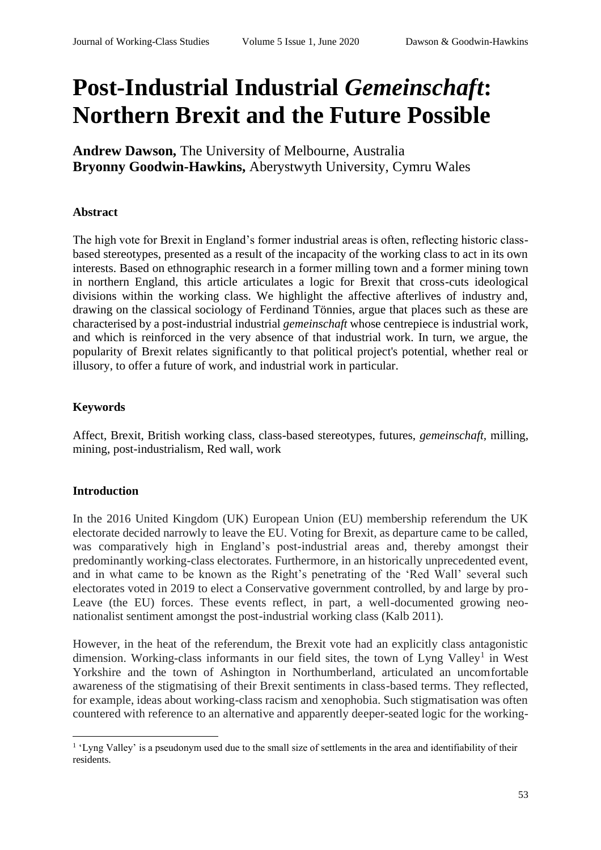# **Post-Industrial Industrial** *Gemeinschaft***: Northern Brexit and the Future Possible**

**Andrew Dawson,** The University of Melbourne, Australia **Bryonny Goodwin-Hawkins,** Aberystwyth University, Cymru Wales

### **Abstract**

The high vote for Brexit in England's former industrial areas is often, reflecting historic classbased stereotypes, presented as a result of the incapacity of the working class to act in its own interests. Based on ethnographic research in a former milling town and a former mining town in northern England, this article articulates a logic for Brexit that cross-cuts ideological divisions within the working class. We highlight the affective afterlives of industry and, drawing on the classical sociology of Ferdinand Tönnies, argue that places such as these are characterised by a post-industrial industrial *gemeinschaft* whose centrepiece is industrial work, and which is reinforced in the very absence of that industrial work. In turn, we argue, the popularity of Brexit relates significantly to that political project's potential, whether real or illusory, to offer a future of work, and industrial work in particular.

### **Keywords**

Affect, Brexit, British working class, class-based stereotypes, futures, *gemeinschaft,* milling, mining, post-industrialism, Red wall, work

# **Introduction**

In the 2016 United Kingdom (UK) European Union (EU) membership referendum the UK electorate decided narrowly to leave the EU. Voting for Brexit, as departure came to be called, was comparatively high in England's post-industrial areas and, thereby amongst their predominantly working-class electorates. Furthermore, in an historically unprecedented event, and in what came to be known as the Right's penetrating of the 'Red Wall' several such electorates voted in 2019 to elect a Conservative government controlled, by and large by pro-Leave (the EU) forces. These events reflect, in part, a well-documented growing neonationalist sentiment amongst the post-industrial working class (Kalb 2011).

However, in the heat of the referendum, the Brexit vote had an explicitly class antagonistic dimension. Working-class informants in our field sites, the town of Lyng Valley<sup>1</sup> in West Yorkshire and the town of Ashington in Northumberland, articulated an uncomfortable awareness of the stigmatising of their Brexit sentiments in class-based terms. They reflected, for example, ideas about working-class racism and xenophobia. Such stigmatisation was often countered with reference to an alternative and apparently deeper-seated logic for the working-

<sup>&</sup>lt;sup>1</sup> 'Lyng Valley' is a pseudonym used due to the small size of settlements in the area and identifiability of their residents.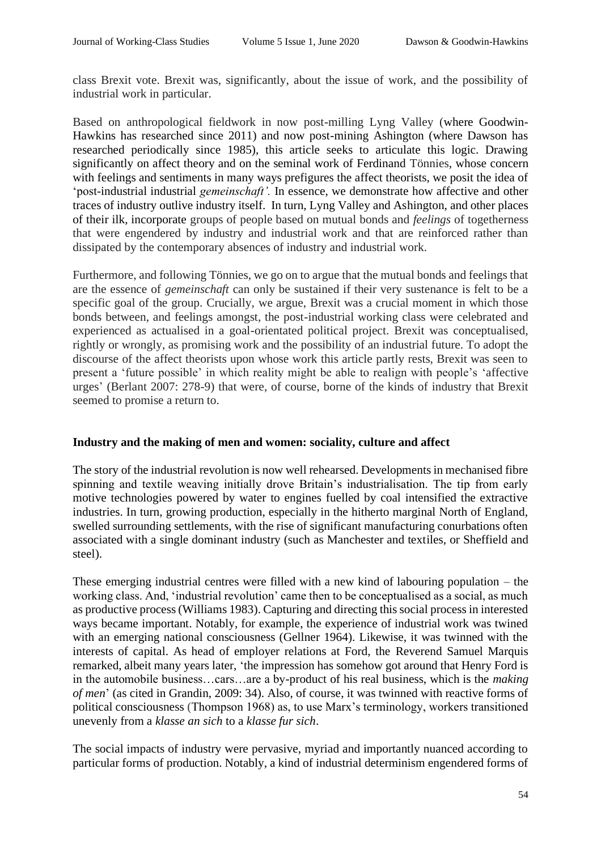class Brexit vote. Brexit was, significantly, about the issue of work, and the possibility of industrial work in particular.

Based on anthropological fieldwork in now post-milling Lyng Valley (where Goodwin-Hawkins has researched since 2011) and now post-mining Ashington (where Dawson has researched periodically since 1985), this article seeks to articulate this logic. Drawing significantly on affect theory and on the seminal work of Ferdinand Tönnies, whose concern with feelings and sentiments in many ways prefigures the affect theorists, we posit the idea of 'post-industrial industrial *gemeinschaft'.* In essence, we demonstrate how affective and other traces of industry outlive industry itself. In turn, Lyng Valley and Ashington, and other places of their ilk, incorporate groups of people based on mutual bonds and *feelings* of togetherness that were engendered by industry and industrial work and that are reinforced rather than dissipated by the contemporary absences of industry and industrial work.

Furthermore, and following Tönnies, we go on to argue that the mutual bonds and feelings that are the essence of *gemeinschaft* can only be sustained if their very sustenance is felt to be a specific goal of the group. Crucially, we argue, Brexit was a crucial moment in which those bonds between, and feelings amongst, the post-industrial working class were celebrated and experienced as actualised in a goal-orientated political project. Brexit was conceptualised, rightly or wrongly, as promising work and the possibility of an industrial future. To adopt the discourse of the affect theorists upon whose work this article partly rests, Brexit was seen to present a 'future possible' in which reality might be able to realign with people's 'affective urges' (Berlant 2007: 278-9) that were, of course, borne of the kinds of industry that Brexit seemed to promise a return to.

### **Industry and the making of men and women: sociality, culture and affect**

The story of the industrial revolution is now well rehearsed. Developments in mechanised fibre spinning and textile weaving initially drove Britain's industrialisation. The tip from early motive technologies powered by water to engines fuelled by coal intensified the extractive industries. In turn, growing production, especially in the hitherto marginal North of England, swelled surrounding settlements, with the rise of significant manufacturing conurbations often associated with a single dominant industry (such as Manchester and textiles, or Sheffield and steel).

These emerging industrial centres were filled with a new kind of labouring population – the working class. And, 'industrial revolution' came then to be conceptualised as a social, as much as productive process (Williams 1983). Capturing and directing this social process in interested ways became important. Notably, for example, the experience of industrial work was twined with an emerging national consciousness (Gellner 1964). Likewise, it was twinned with the interests of capital. As head of employer relations at Ford, the Reverend Samuel Marquis remarked, albeit many years later, 'the impression has somehow got around that Henry Ford is in the automobile business…cars…are a by-product of his real business, which is the *making of men*' (as cited in Grandin, 2009: 34). Also, of course, it was twinned with reactive forms of political consciousness (Thompson 1968) as, to use Marx's terminology, workers transitioned unevenly from a *klasse an sich* to a *klasse fur sich*.

The social impacts of industry were pervasive, myriad and importantly nuanced according to particular forms of production. Notably, a kind of industrial determinism engendered forms of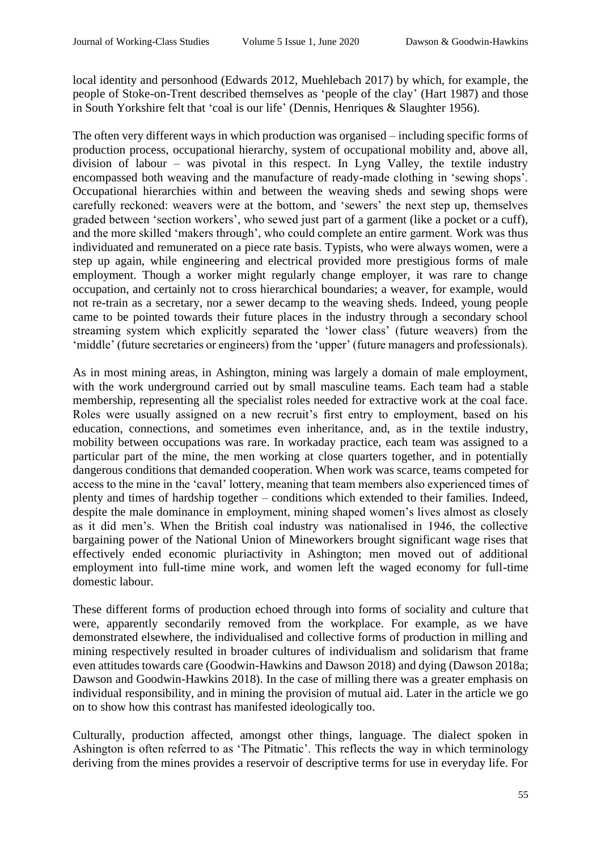local identity and personhood (Edwards 2012, Muehlebach 2017) by which, for example, the people of Stoke-on-Trent described themselves as 'people of the clay' (Hart 1987) and those in South Yorkshire felt that 'coal is our life' (Dennis, Henriques & Slaughter 1956).

The often very different ways in which production was organised – including specific forms of production process, occupational hierarchy, system of occupational mobility and, above all, division of labour – was pivotal in this respect. In Lyng Valley, the textile industry encompassed both weaving and the manufacture of ready-made clothing in 'sewing shops'. Occupational hierarchies within and between the weaving sheds and sewing shops were carefully reckoned: weavers were at the bottom, and 'sewers' the next step up, themselves graded between 'section workers', who sewed just part of a garment (like a pocket or a cuff), and the more skilled 'makers through', who could complete an entire garment. Work was thus individuated and remunerated on a piece rate basis. Typists, who were always women, were a step up again, while engineering and electrical provided more prestigious forms of male employment. Though a worker might regularly change employer, it was rare to change occupation, and certainly not to cross hierarchical boundaries; a weaver, for example, would not re-train as a secretary, nor a sewer decamp to the weaving sheds. Indeed, young people came to be pointed towards their future places in the industry through a secondary school streaming system which explicitly separated the 'lower class' (future weavers) from the 'middle' (future secretaries or engineers) from the 'upper' (future managers and professionals).

As in most mining areas, in Ashington, mining was largely a domain of male employment, with the work underground carried out by small masculine teams. Each team had a stable membership, representing all the specialist roles needed for extractive work at the coal face. Roles were usually assigned on a new recruit's first entry to employment, based on his education, connections, and sometimes even inheritance, and, as in the textile industry, mobility between occupations was rare. In workaday practice, each team was assigned to a particular part of the mine, the men working at close quarters together, and in potentially dangerous conditions that demanded cooperation. When work was scarce, teams competed for access to the mine in the 'caval' lottery, meaning that team members also experienced times of plenty and times of hardship together – conditions which extended to their families. Indeed, despite the male dominance in employment, mining shaped women's lives almost as closely as it did men's. When the British coal industry was nationalised in 1946, the collective bargaining power of the National Union of Mineworkers brought significant wage rises that effectively ended economic pluriactivity in Ashington; men moved out of additional employment into full-time mine work, and women left the waged economy for full-time domestic labour.

These different forms of production echoed through into forms of sociality and culture that were, apparently secondarily removed from the workplace. For example, as we have demonstrated elsewhere, the individualised and collective forms of production in milling and mining respectively resulted in broader cultures of individualism and solidarism that frame even attitudes towards care (Goodwin-Hawkins and Dawson 2018) and dying (Dawson 2018a; Dawson and Goodwin-Hawkins 2018). In the case of milling there was a greater emphasis on individual responsibility, and in mining the provision of mutual aid. Later in the article we go on to show how this contrast has manifested ideologically too.

Culturally, production affected, amongst other things, language. The dialect spoken in Ashington is often referred to as 'The Pitmatic'. This reflects the way in which terminology deriving from the mines provides a reservoir of descriptive terms for use in everyday life. For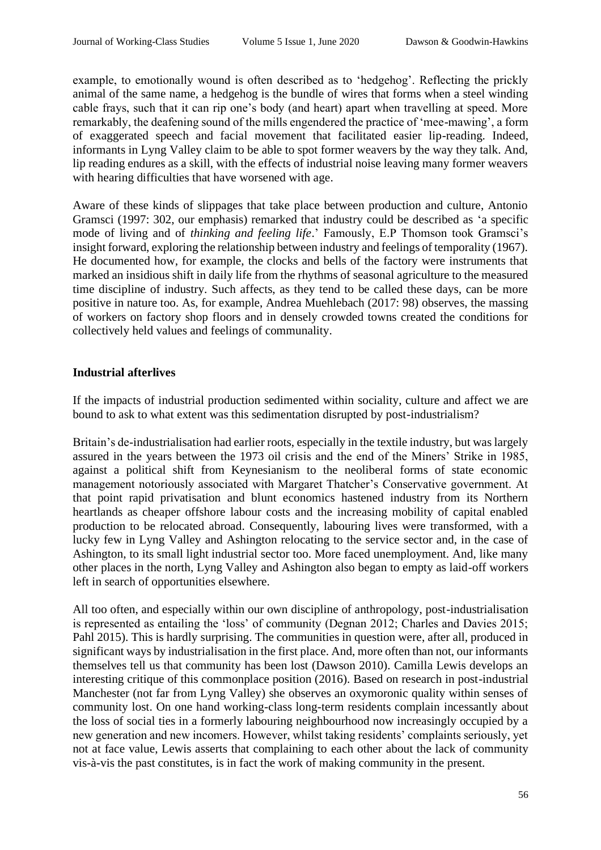example, to emotionally wound is often described as to 'hedgehog'. Reflecting the prickly animal of the same name, a hedgehog is the bundle of wires that forms when a steel winding cable frays, such that it can rip one's body (and heart) apart when travelling at speed. More remarkably, the deafening sound of the mills engendered the practice of 'mee-mawing', a form of exaggerated speech and facial movement that facilitated easier lip-reading. Indeed, informants in Lyng Valley claim to be able to spot former weavers by the way they talk. And, lip reading endures as a skill, with the effects of industrial noise leaving many former weavers with hearing difficulties that have worsened with age.

Aware of these kinds of slippages that take place between production and culture, Antonio Gramsci (1997: 302, our emphasis) remarked that industry could be described as 'a specific mode of living and of *thinking and feeling life*.' Famously, E.P Thomson took Gramsci's insight forward, exploring the relationship between industry and feelings of temporality (1967). He documented how, for example, the clocks and bells of the factory were instruments that marked an insidious shift in daily life from the rhythms of seasonal agriculture to the measured time discipline of industry. Such affects, as they tend to be called these days, can be more positive in nature too. As, for example, Andrea Muehlebach (2017: 98) observes, the massing of workers on factory shop floors and in densely crowded towns created the conditions for collectively held values and feelings of communality.

## **Industrial afterlives**

If the impacts of industrial production sedimented within sociality, culture and affect we are bound to ask to what extent was this sedimentation disrupted by post-industrialism?

Britain's de-industrialisation had earlier roots, especially in the textile industry, but was largely assured in the years between the 1973 oil crisis and the end of the Miners' Strike in 1985, against a political shift from Keynesianism to the neoliberal forms of state economic management notoriously associated with Margaret Thatcher's Conservative government. At that point rapid privatisation and blunt economics hastened industry from its Northern heartlands as cheaper offshore labour costs and the increasing mobility of capital enabled production to be relocated abroad. Consequently, labouring lives were transformed, with a lucky few in Lyng Valley and Ashington relocating to the service sector and, in the case of Ashington, to its small light industrial sector too. More faced unemployment. And, like many other places in the north, Lyng Valley and Ashington also began to empty as laid-off workers left in search of opportunities elsewhere.

All too often, and especially within our own discipline of anthropology, post-industrialisation is represented as entailing the 'loss' of community (Degnan 2012; Charles and Davies 2015; Pahl 2015). This is hardly surprising. The communities in question were, after all, produced in significant ways by industrialisation in the first place. And, more often than not, our informants themselves tell us that community has been lost (Dawson 2010). Camilla Lewis develops an interesting critique of this commonplace position (2016). Based on research in post-industrial Manchester (not far from Lyng Valley) she observes an oxymoronic quality within senses of community lost. On one hand working-class long-term residents complain incessantly about the loss of social ties in a formerly labouring neighbourhood now increasingly occupied by a new generation and new incomers. However, whilst taking residents' complaints seriously, yet not at face value, Lewis asserts that complaining to each other about the lack of community vis-à-vis the past constitutes, is in fact the work of making community in the present.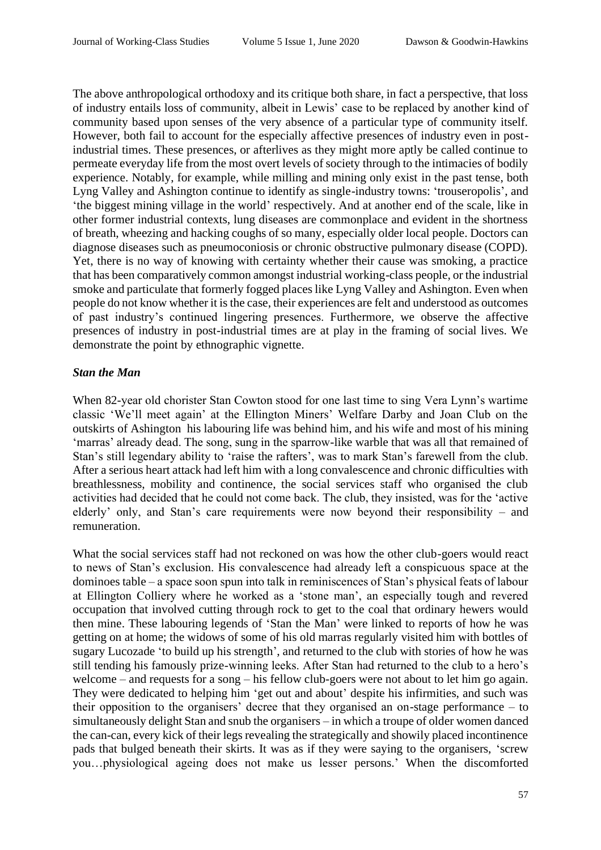The above anthropological orthodoxy and its critique both share, in fact a perspective, that loss of industry entails loss of community, albeit in Lewis' case to be replaced by another kind of community based upon senses of the very absence of a particular type of community itself. However, both fail to account for the especially affective presences of industry even in postindustrial times. These presences, or afterlives as they might more aptly be called continue to permeate everyday life from the most overt levels of society through to the intimacies of bodily experience. Notably, for example, while milling and mining only exist in the past tense, both Lyng Valley and Ashington continue to identify as single-industry towns: 'trouseropolis', and 'the biggest mining village in the world' respectively. And at another end of the scale, like in other former industrial contexts, lung diseases are commonplace and evident in the shortness of breath, wheezing and hacking coughs of so many, especially older local people. Doctors can diagnose diseases such as pneumoconiosis or chronic obstructive pulmonary disease (COPD). Yet, there is no way of knowing with certainty whether their cause was smoking, a practice that has been comparatively common amongst industrial working-class people, or the industrial smoke and particulate that formerly fogged places like Lyng Valley and Ashington. Even when people do not know whether it is the case, their experiences are felt and understood as outcomes of past industry's continued lingering presences. Furthermore, we observe the affective presences of industry in post-industrial times are at play in the framing of social lives. We demonstrate the point by ethnographic vignette.

## *Stan the Man*

When 82-year old chorister Stan Cowton stood for one last time to sing Vera Lynn's wartime classic 'We'll meet again' at the Ellington Miners' Welfare Darby and Joan Club on the outskirts of Ashington his labouring life was behind him, and his wife and most of his mining 'marras' already dead. The song, sung in the sparrow-like warble that was all that remained of Stan's still legendary ability to 'raise the rafters', was to mark Stan's farewell from the club. After a serious heart attack had left him with a long convalescence and chronic difficulties with breathlessness, mobility and continence, the social services staff who organised the club activities had decided that he could not come back. The club, they insisted, was for the 'active elderly' only, and Stan's care requirements were now beyond their responsibility – and remuneration.

What the social services staff had not reckoned on was how the other club-goers would react to news of Stan's exclusion. His convalescence had already left a conspicuous space at the dominoes table – a space soon spun into talk in reminiscences of Stan's physical feats of labour at Ellington Colliery where he worked as a 'stone man', an especially tough and revered occupation that involved cutting through rock to get to the coal that ordinary hewers would then mine. These labouring legends of 'Stan the Man' were linked to reports of how he was getting on at home; the widows of some of his old marras regularly visited him with bottles of sugary Lucozade 'to build up his strength', and returned to the club with stories of how he was still tending his famously prize-winning leeks. After Stan had returned to the club to a hero's welcome – and requests for a song – his fellow club-goers were not about to let him go again. They were dedicated to helping him 'get out and about' despite his infirmities, and such was their opposition to the organisers' decree that they organised an on-stage performance – to simultaneously delight Stan and snub the organisers – in which a troupe of older women danced the can-can, every kick of their legs revealing the strategically and showily placed incontinence pads that bulged beneath their skirts. It was as if they were saying to the organisers, 'screw you…physiological ageing does not make us lesser persons.' When the discomforted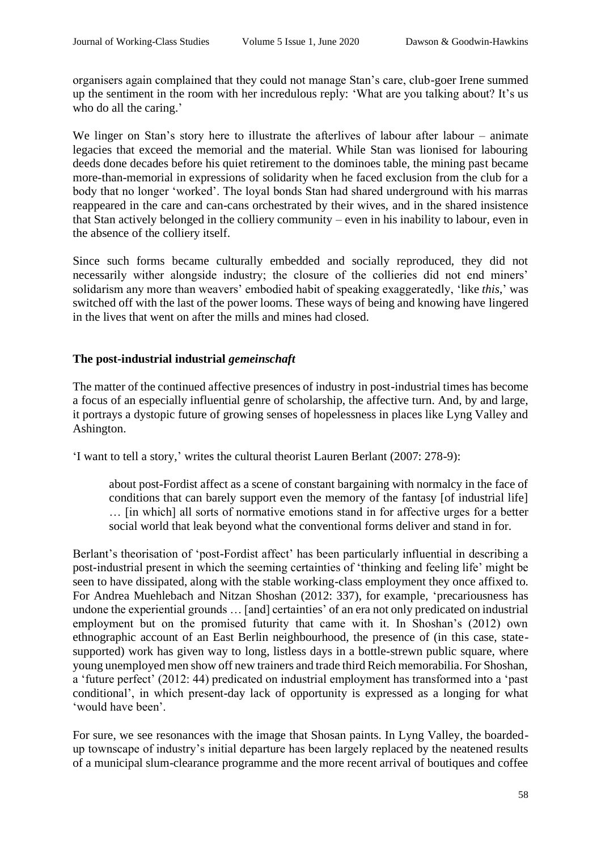organisers again complained that they could not manage Stan's care, club-goer Irene summed up the sentiment in the room with her incredulous reply: 'What are you talking about? It's us who do all the caring.'

We linger on Stan's story here to illustrate the afterlives of labour after labour – animate legacies that exceed the memorial and the material. While Stan was lionised for labouring deeds done decades before his quiet retirement to the dominoes table, the mining past became more-than-memorial in expressions of solidarity when he faced exclusion from the club for a body that no longer 'worked'. The loyal bonds Stan had shared underground with his marras reappeared in the care and can-cans orchestrated by their wives, and in the shared insistence that Stan actively belonged in the colliery community – even in his inability to labour, even in the absence of the colliery itself.

Since such forms became culturally embedded and socially reproduced, they did not necessarily wither alongside industry; the closure of the collieries did not end miners' solidarism any more than weavers' embodied habit of speaking exaggeratedly, 'like *this*,' was switched off with the last of the power looms. These ways of being and knowing have lingered in the lives that went on after the mills and mines had closed.

## **The post-industrial industrial** *gemeinschaft*

The matter of the continued affective presences of industry in post-industrial times has become a focus of an especially influential genre of scholarship, the affective turn. And, by and large, it portrays a dystopic future of growing senses of hopelessness in places like Lyng Valley and Ashington.

'I want to tell a story,' writes the cultural theorist Lauren Berlant (2007: 278-9):

about post-Fordist affect as a scene of constant bargaining with normalcy in the face of conditions that can barely support even the memory of the fantasy [of industrial life] … [in which] all sorts of normative emotions stand in for affective urges for a better social world that leak beyond what the conventional forms deliver and stand in for.

Berlant's theorisation of 'post-Fordist affect' has been particularly influential in describing a post-industrial present in which the seeming certainties of 'thinking and feeling life' might be seen to have dissipated, along with the stable working-class employment they once affixed to. For Andrea Muehlebach and Nitzan Shoshan (2012: 337), for example, 'precariousness has undone the experiential grounds … [and] certainties' of an era not only predicated on industrial employment but on the promised futurity that came with it. In Shoshan's (2012) own ethnographic account of an East Berlin neighbourhood, the presence of (in this case, statesupported) work has given way to long, listless days in a bottle-strewn public square, where young unemployed men show off new trainers and trade third Reich memorabilia. For Shoshan, a 'future perfect' (2012: 44) predicated on industrial employment has transformed into a 'past conditional', in which present-day lack of opportunity is expressed as a longing for what 'would have been'.

For sure, we see resonances with the image that Shosan paints. In Lyng Valley, the boardedup townscape of industry's initial departure has been largely replaced by the neatened results of a municipal slum-clearance programme and the more recent arrival of boutiques and coffee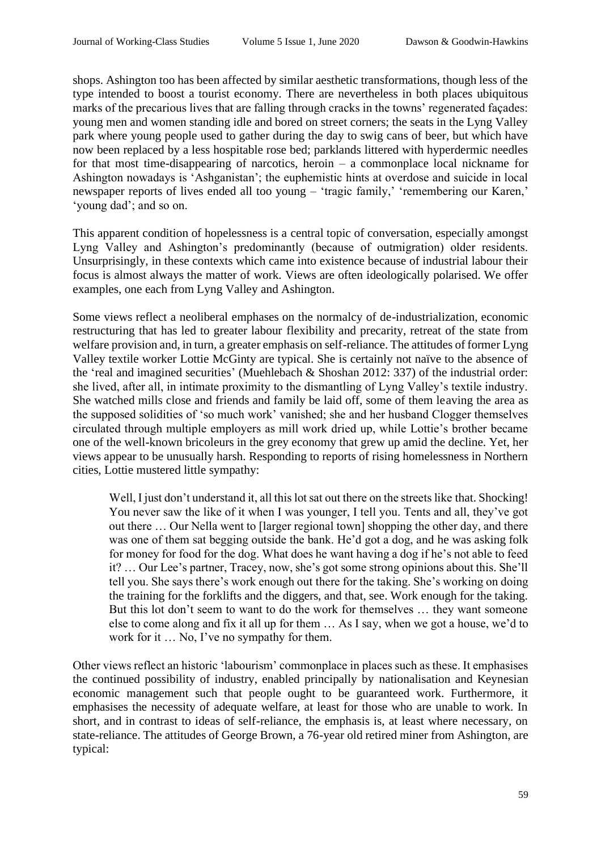shops. Ashington too has been affected by similar aesthetic transformations, though less of the type intended to boost a tourist economy. There are nevertheless in both places ubiquitous marks of the precarious lives that are falling through cracks in the towns' regenerated façades: young men and women standing idle and bored on street corners; the seats in the Lyng Valley park where young people used to gather during the day to swig cans of beer, but which have now been replaced by a less hospitable rose bed; parklands littered with hyperdermic needles for that most time-disappearing of narcotics, heroin – a commonplace local nickname for Ashington nowadays is 'Ashganistan'; the euphemistic hints at overdose and suicide in local newspaper reports of lives ended all too young – 'tragic family,' 'remembering our Karen,' 'young dad'; and so on.

This apparent condition of hopelessness is a central topic of conversation, especially amongst Lyng Valley and Ashington's predominantly (because of outmigration) older residents. Unsurprisingly, in these contexts which came into existence because of industrial labour their focus is almost always the matter of work. Views are often ideologically polarised. We offer examples, one each from Lyng Valley and Ashington.

Some views reflect a neoliberal emphases on the normalcy of de-industrialization, economic restructuring that has led to greater labour flexibility and precarity, retreat of the state from welfare provision and, in turn, a greater emphasis on self-reliance. The attitudes of former Lyng Valley textile worker Lottie McGinty are typical. She is certainly not naïve to the absence of the 'real and imagined securities' (Muehlebach & Shoshan 2012: 337) of the industrial order: she lived, after all, in intimate proximity to the dismantling of Lyng Valley's textile industry. She watched mills close and friends and family be laid off, some of them leaving the area as the supposed solidities of 'so much work' vanished; she and her husband Clogger themselves circulated through multiple employers as mill work dried up, while Lottie's brother became one of the well-known bricoleurs in the grey economy that grew up amid the decline. Yet, her views appear to be unusually harsh. Responding to reports of rising homelessness in Northern cities, Lottie mustered little sympathy:

Well, I just don't understand it, all this lot sat out there on the streets like that. Shocking! You never saw the like of it when I was younger, I tell you. Tents and all, they've got out there … Our Nella went to [larger regional town] shopping the other day, and there was one of them sat begging outside the bank. He'd got a dog, and he was asking folk for money for food for the dog. What does he want having a dog if he's not able to feed it? … Our Lee's partner, Tracey, now, she's got some strong opinions about this. She'll tell you. She says there's work enough out there for the taking. She's working on doing the training for the forklifts and the diggers, and that, see. Work enough for the taking. But this lot don't seem to want to do the work for themselves … they want someone else to come along and fix it all up for them … As I say, when we got a house, we'd to work for it … No, I've no sympathy for them.

Other views reflect an historic 'labourism' commonplace in places such as these. It emphasises the continued possibility of industry, enabled principally by nationalisation and Keynesian economic management such that people ought to be guaranteed work. Furthermore, it emphasises the necessity of adequate welfare, at least for those who are unable to work. In short, and in contrast to ideas of self-reliance, the emphasis is, at least where necessary, on state-reliance. The attitudes of George Brown, a 76-year old retired miner from Ashington, are typical: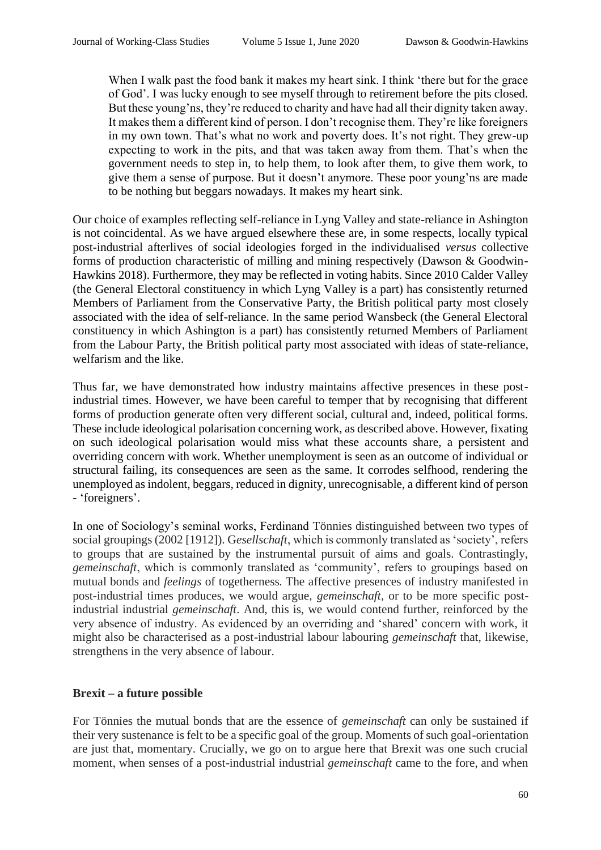When I walk past the food bank it makes my heart sink. I think 'there but for the grace of God'. I was lucky enough to see myself through to retirement before the pits closed. But these young'ns, they're reduced to charity and have had all their dignity taken away. It makes them a different kind of person. I don't recognise them. They're like foreigners in my own town. That's what no work and poverty does. It's not right. They grew-up expecting to work in the pits, and that was taken away from them. That's when the government needs to step in, to help them, to look after them, to give them work, to give them a sense of purpose. But it doesn't anymore. These poor young'ns are made to be nothing but beggars nowadays. It makes my heart sink.

Our choice of examples reflecting self-reliance in Lyng Valley and state-reliance in Ashington is not coincidental. As we have argued elsewhere these are, in some respects, locally typical post-industrial afterlives of social ideologies forged in the individualised *versus* collective forms of production characteristic of milling and mining respectively (Dawson & Goodwin-Hawkins 2018). Furthermore, they may be reflected in voting habits. Since 2010 Calder Valley (the General Electoral constituency in which Lyng Valley is a part) has consistently returned Members of Parliament from the Conservative Party, the British political party most closely associated with the idea of self-reliance. In the same period Wansbeck (the General Electoral constituency in which Ashington is a part) has consistently returned Members of Parliament from the Labour Party, the British political party most associated with ideas of state-reliance, welfarism and the like.

Thus far, we have demonstrated how industry maintains affective presences in these postindustrial times. However, we have been careful to temper that by recognising that different forms of production generate often very different social, cultural and, indeed, political forms. These include ideological polarisation concerning work, as described above. However, fixating on such ideological polarisation would miss what these accounts share, a persistent and overriding concern with work. Whether unemployment is seen as an outcome of individual or structural failing, its consequences are seen as the same. It corrodes selfhood, rendering the unemployed as indolent, beggars, reduced in dignity, unrecognisable, a different kind of person - 'foreigners'.

In one of Sociology's seminal works, Ferdinand Tönnies distinguished between two types of social groupings (2002 [1912]). G*esellschaft*, which is commonly translated as 'society', refers to groups that are sustained by the instrumental pursuit of aims and goals. Contrastingly, *gemeinschaft*, which is commonly translated as 'community', refers to groupings based on mutual bonds and *feelings* of togetherness. The affective presences of industry manifested in post-industrial times produces, we would argue, *gemeinschaft*, or to be more specific postindustrial industrial *gemeinschaft*. And, this is, we would contend further, reinforced by the very absence of industry. As evidenced by an overriding and 'shared' concern with work, it might also be characterised as a post-industrial labour labouring *gemeinschaft* that, likewise, strengthens in the very absence of labour.

# **Brexit – a future possible**

For Tönnies the mutual bonds that are the essence of *gemeinschaft* can only be sustained if their very sustenance is felt to be a specific goal of the group. Moments of such goal-orientation are just that, momentary. Crucially, we go on to argue here that Brexit was one such crucial moment, when senses of a post-industrial industrial *gemeinschaft* came to the fore, and when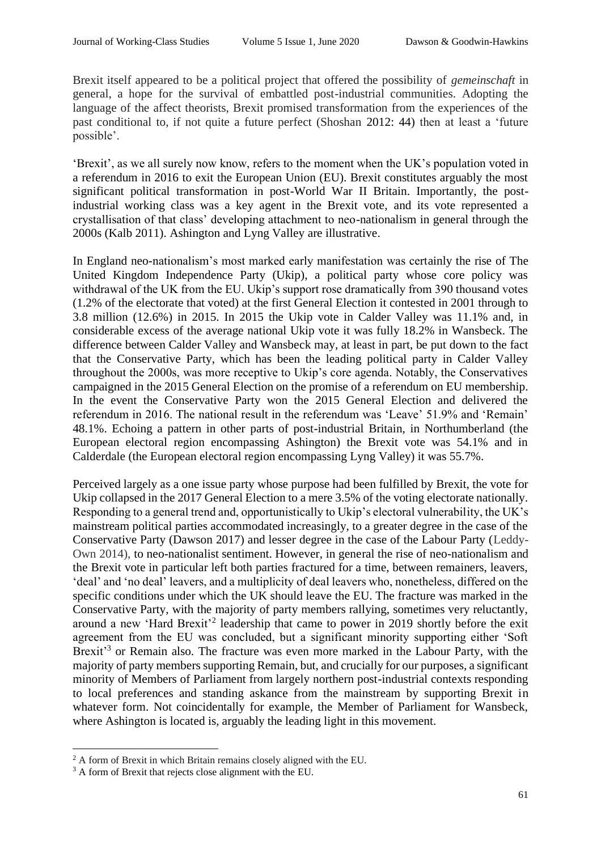Brexit itself appeared to be a political project that offered the possibility of *gemeinschaft* in general, a hope for the survival of embattled post-industrial communities. Adopting the language of the affect theorists, Brexit promised transformation from the experiences of the past conditional to, if not quite a future perfect (Shoshan 2012: 44) then at least a 'future possible'.

'Brexit', as we all surely now know, refers to the moment when the UK's population voted in a referendum in 2016 to exit the European Union (EU). Brexit constitutes arguably the most significant political transformation in post-World War II Britain. Importantly, the postindustrial working class was a key agent in the Brexit vote, and its vote represented a crystallisation of that class' developing attachment to neo-nationalism in general through the 2000s (Kalb 2011). Ashington and Lyng Valley are illustrative.

In England neo-nationalism's most marked early manifestation was certainly the rise of The United Kingdom Independence Party (Ukip), a political party whose core policy was withdrawal of the UK from the EU. Ukip's support rose dramatically from 390 thousand votes (1.2% of the electorate that voted) at the first General Election it contested in 2001 through to 3.8 million (12.6%) in 2015. In 2015 the Ukip vote in Calder Valley was 11.1% and, in considerable excess of the average national Ukip vote it was fully 18.2% in Wansbeck. The difference between Calder Valley and Wansbeck may, at least in part, be put down to the fact that the Conservative Party, which has been the leading political party in Calder Valley throughout the 2000s, was more receptive to Ukip's core agenda. Notably, the Conservatives campaigned in the 2015 General Election on the promise of a referendum on EU membership. In the event the Conservative Party won the 2015 General Election and delivered the referendum in 2016. The national result in the referendum was 'Leave' 51.9% and 'Remain' 48.1%. Echoing a pattern in other parts of post-industrial Britain, in Northumberland (the European electoral region encompassing Ashington) the Brexit vote was 54.1% and in Calderdale (the European electoral region encompassing Lyng Valley) it was 55.7%.

Perceived largely as a one issue party whose purpose had been fulfilled by Brexit, the vote for Ukip collapsed in the 2017 General Election to a mere 3.5% of the voting electorate nationally. Responding to a general trend and, opportunistically to Ukip's electoral vulnerability, the UK's mainstream political parties accommodated increasingly, to a greater degree in the case of the Conservative Party (Dawson 2017) and lesser degree in the case of the Labour Party (Leddy-Own 2014), to neo-nationalist sentiment. However, in general the rise of neo-nationalism and the Brexit vote in particular left both parties fractured for a time, between remainers, leavers, 'deal' and 'no deal' leavers, and a multiplicity of deal leavers who, nonetheless, differed on the specific conditions under which the UK should leave the EU. The fracture was marked in the Conservative Party, with the majority of party members rallying, sometimes very reluctantly, around a new 'Hard Brexit'<sup>2</sup> leadership that came to power in 2019 shortly before the exit agreement from the EU was concluded, but a significant minority supporting either 'Soft Brexit<sup>3</sup> or Remain also. The fracture was even more marked in the Labour Party, with the majority of party members supporting Remain, but, and crucially for our purposes, a significant minority of Members of Parliament from largely northern post-industrial contexts responding to local preferences and standing askance from the mainstream by supporting Brexit in whatever form. Not coincidentally for example, the Member of Parliament for Wansbeck, where Ashington is located is, arguably the leading light in this movement.

<sup>&</sup>lt;sup>2</sup> A form of Brexit in which Britain remains closely aligned with the EU.

<sup>&</sup>lt;sup>3</sup> A form of Brexit that rejects close alignment with the EU.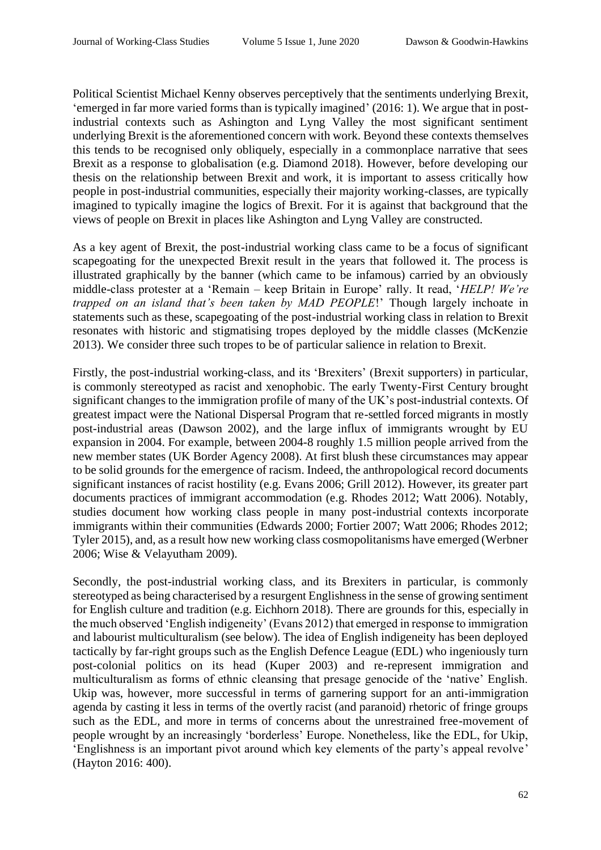Political Scientist Michael Kenny observes perceptively that the sentiments underlying Brexit, 'emerged in far more varied forms than is typically imagined' (2016: 1). We argue that in postindustrial contexts such as Ashington and Lyng Valley the most significant sentiment underlying Brexit is the aforementioned concern with work. Beyond these contexts themselves this tends to be recognised only obliquely, especially in a commonplace narrative that sees Brexit as a response to globalisation (e.g. Diamond 2018). However, before developing our thesis on the relationship between Brexit and work, it is important to assess critically how people in post-industrial communities, especially their majority working-classes, are typically imagined to typically imagine the logics of Brexit. For it is against that background that the views of people on Brexit in places like Ashington and Lyng Valley are constructed.

As a key agent of Brexit, the post-industrial working class came to be a focus of significant scapegoating for the unexpected Brexit result in the years that followed it. The process is illustrated graphically by the banner (which came to be infamous) carried by an obviously middle-class protester at a 'Remain – keep Britain in Europe' rally. It read, '*HELP! We're trapped on an island that's been taken by MAD PEOPLE*!' Though largely inchoate in statements such as these, scapegoating of the post-industrial working class in relation to Brexit resonates with historic and stigmatising tropes deployed by the middle classes (McKenzie 2013). We consider three such tropes to be of particular salience in relation to Brexit.

Firstly, the post-industrial working-class, and its 'Brexiters' (Brexit supporters) in particular, is commonly stereotyped as racist and xenophobic. The early Twenty-First Century brought significant changes to the immigration profile of many of the UK's post-industrial contexts. Of greatest impact were the National Dispersal Program that re-settled forced migrants in mostly post-industrial areas (Dawson 2002), and the large influx of immigrants wrought by EU expansion in 2004. For example, between 2004-8 roughly 1.5 million people arrived from the new member states (UK Border Agency 2008). At first blush these circumstances may appear to be solid grounds for the emergence of racism. Indeed, the anthropological record documents significant instances of racist hostility (e.g. Evans 2006; Grill 2012). However, its greater part documents practices of immigrant accommodation (e.g. Rhodes 2012; Watt 2006). Notably, studies document how working class people in many post-industrial contexts incorporate immigrants within their communities (Edwards 2000; Fortier 2007; Watt 2006; Rhodes 2012; Tyler 2015), and, as a result how new working class cosmopolitanisms have emerged (Werbner 2006; Wise & Velayutham 2009).

Secondly, the post-industrial working class, and its Brexiters in particular, is commonly stereotyped as being characterised by a resurgent Englishness in the sense of growing sentiment for English culture and tradition (e.g. Eichhorn 2018). There are grounds for this, especially in the much observed 'English indigeneity' (Evans 2012) that emerged in response to immigration and labourist multiculturalism (see below). The idea of English indigeneity has been deployed tactically by far-right groups such as the English Defence League (EDL) who ingeniously turn post-colonial politics on its head (Kuper 2003) and re-represent immigration and multiculturalism as forms of ethnic cleansing that presage genocide of the 'native' English. Ukip was, however, more successful in terms of garnering support for an anti-immigration agenda by casting it less in terms of the overtly racist (and paranoid) rhetoric of fringe groups such as the EDL, and more in terms of concerns about the unrestrained free-movement of people wrought by an increasingly 'borderless' Europe. Nonetheless, like the EDL, for Ukip, 'Englishness is an important pivot around which key elements of the party's appeal revolve' (Hayton 2016: 400).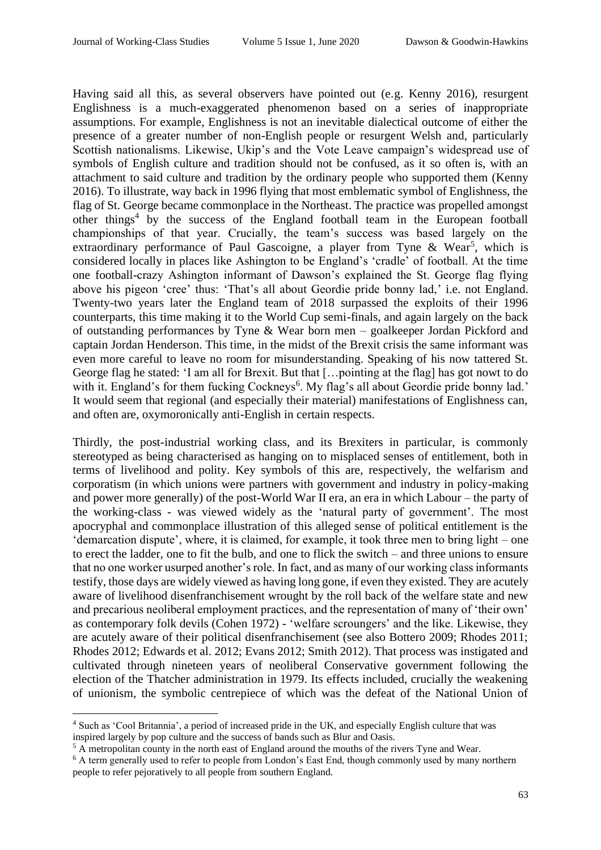Having said all this, as several observers have pointed out (e.g. Kenny 2016), resurgent Englishness is a much-exaggerated phenomenon based on a series of inappropriate assumptions. For example, Englishness is not an inevitable dialectical outcome of either the presence of a greater number of non-English people or resurgent Welsh and, particularly Scottish nationalisms. Likewise, Ukip's and the Vote Leave campaign's widespread use of symbols of English culture and tradition should not be confused, as it so often is, with an attachment to said culture and tradition by the ordinary people who supported them (Kenny 2016). To illustrate, way back in 1996 flying that most emblematic symbol of Englishness, the flag of St. George became commonplace in the Northeast. The practice was propelled amongst other things<sup>4</sup> by the success of the England football team in the European football championships of that year. Crucially, the team's success was based largely on the extraordinary performance of Paul Gascoigne, a player from Tyne & Wear<sup>5</sup>, which is considered locally in places like Ashington to be England's 'cradle' of football. At the time one football-crazy Ashington informant of Dawson's explained the St. George flag flying above his pigeon 'cree' thus: 'That's all about Geordie pride bonny lad,' i.e. not England. Twenty-two years later the England team of 2018 surpassed the exploits of their 1996 counterparts, this time making it to the World Cup semi-finals, and again largely on the back of outstanding performances by Tyne & Wear born men – goalkeeper Jordan Pickford and captain Jordan Henderson. This time, in the midst of the Brexit crisis the same informant was even more careful to leave no room for misunderstanding. Speaking of his now tattered St. George flag he stated: 'I am all for Brexit. But that […pointing at the flag] has got nowt to do with it. England's for them fucking Cockneys<sup>6</sup>. My flag's all about Geordie pride bonny lad.' It would seem that regional (and especially their material) manifestations of Englishness can, and often are, oxymoronically anti-English in certain respects.

Thirdly, the post-industrial working class, and its Brexiters in particular, is commonly stereotyped as being characterised as hanging on to misplaced senses of entitlement, both in terms of livelihood and polity. Key symbols of this are, respectively, the welfarism and corporatism (in which unions were partners with government and industry in policy-making and power more generally) of the post-World War II era, an era in which Labour – the party of the working-class - was viewed widely as the 'natural party of government'. The most apocryphal and commonplace illustration of this alleged sense of political entitlement is the 'demarcation dispute', where, it is claimed, for example, it took three men to bring light – one to erect the ladder, one to fit the bulb, and one to flick the switch – and three unions to ensure that no one worker usurped another's role. In fact, and as many of our working class informants testify, those days are widely viewed as having long gone, if even they existed. They are acutely aware of livelihood disenfranchisement wrought by the roll back of the welfare state and new and precarious neoliberal employment practices, and the representation of many of 'their own' as contemporary folk devils (Cohen 1972) - 'welfare scroungers' and the like. Likewise, they are acutely aware of their political disenfranchisement (see also Bottero 2009; Rhodes 2011; Rhodes 2012; Edwards et al. 2012; Evans 2012; Smith 2012). That process was instigated and cultivated through nineteen years of neoliberal Conservative government following the election of the Thatcher administration in 1979. Its effects included, crucially the weakening of unionism, the symbolic centrepiece of which was the defeat of the National Union of

<sup>4</sup> Such as 'Cool Britannia', a period of increased pride in the UK, and especially English culture that was inspired largely by pop culture and the success of bands such as Blur and Oasis.

<sup>&</sup>lt;sup>5</sup> A metropolitan county in the north east of England around the mouths of the rivers Tyne and Wear.

<sup>&</sup>lt;sup>6</sup> A term generally used to refer to people from London's East End, though commonly used by many northern people to refer pejoratively to all people from southern England.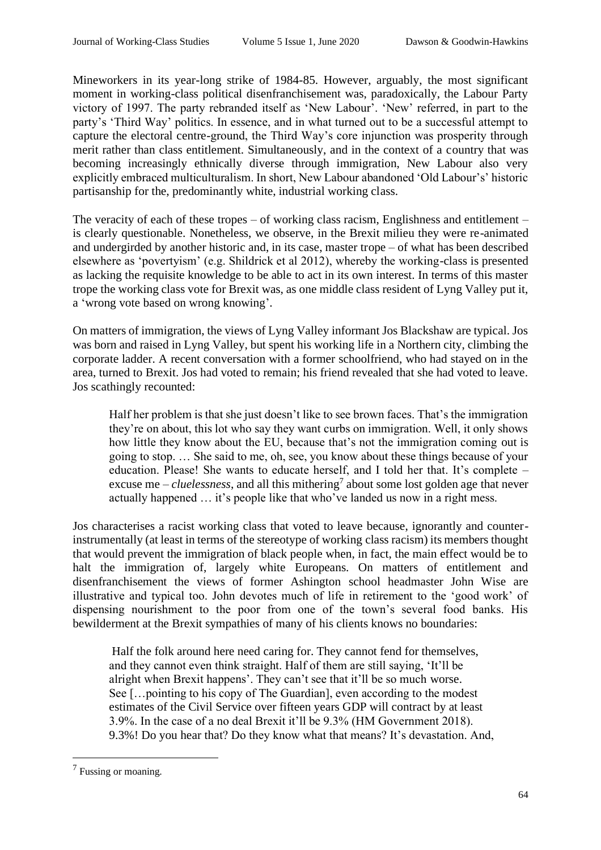Mineworkers in its year-long strike of 1984-85. However, arguably, the most significant moment in working-class political disenfranchisement was, paradoxically, the Labour Party victory of 1997. The party rebranded itself as 'New Labour'. 'New' referred, in part to the party's 'Third Way' politics. In essence, and in what turned out to be a successful attempt to capture the electoral centre-ground, the Third Way's core injunction was prosperity through merit rather than class entitlement. Simultaneously, and in the context of a country that was becoming increasingly ethnically diverse through immigration, New Labour also very explicitly embraced multiculturalism. In short, New Labour abandoned 'Old Labour's' historic partisanship for the, predominantly white, industrial working class.

The veracity of each of these tropes – of working class racism, Englishness and entitlement – is clearly questionable. Nonetheless, we observe, in the Brexit milieu they were re-animated and undergirded by another historic and, in its case, master trope – of what has been described elsewhere as 'povertyism' (e.g. Shildrick et al 2012), whereby the working-class is presented as lacking the requisite knowledge to be able to act in its own interest. In terms of this master trope the working class vote for Brexit was, as one middle class resident of Lyng Valley put it, a 'wrong vote based on wrong knowing'.

On matters of immigration, the views of Lyng Valley informant Jos Blackshaw are typical. Jos was born and raised in Lyng Valley, but spent his working life in a Northern city, climbing the corporate ladder. A recent conversation with a former schoolfriend, who had stayed on in the area, turned to Brexit. Jos had voted to remain; his friend revealed that she had voted to leave. Jos scathingly recounted:

Half her problem is that she just doesn't like to see brown faces. That's the immigration they're on about, this lot who say they want curbs on immigration. Well, it only shows how little they know about the EU, because that's not the immigration coming out is going to stop. … She said to me, oh, see, you know about these things because of your education. Please! She wants to educate herself, and I told her that. It's complete – excuse me  $-\textit{cluelessness}$ , and all this mithering<sup>7</sup> about some lost golden age that never actually happened … it's people like that who've landed us now in a right mess.

Jos characterises a racist working class that voted to leave because, ignorantly and counterinstrumentally (at least in terms of the stereotype of working class racism) its members thought that would prevent the immigration of black people when, in fact, the main effect would be to halt the immigration of, largely white Europeans. On matters of entitlement and disenfranchisement the views of former Ashington school headmaster John Wise are illustrative and typical too. John devotes much of life in retirement to the 'good work' of dispensing nourishment to the poor from one of the town's several food banks. His bewilderment at the Brexit sympathies of many of his clients knows no boundaries:

Half the folk around here need caring for. They cannot fend for themselves, and they cannot even think straight. Half of them are still saying, 'It'll be alright when Brexit happens'. They can't see that it'll be so much worse. See […pointing to his copy of The Guardian], even according to the modest estimates of the Civil Service over fifteen years GDP will contract by at least 3.9%. In the case of a no deal Brexit it'll be 9.3% (HM Government 2018). 9.3%! Do you hear that? Do they know what that means? It's devastation. And,

<sup>&</sup>lt;sup>7</sup> Fussing or moaning.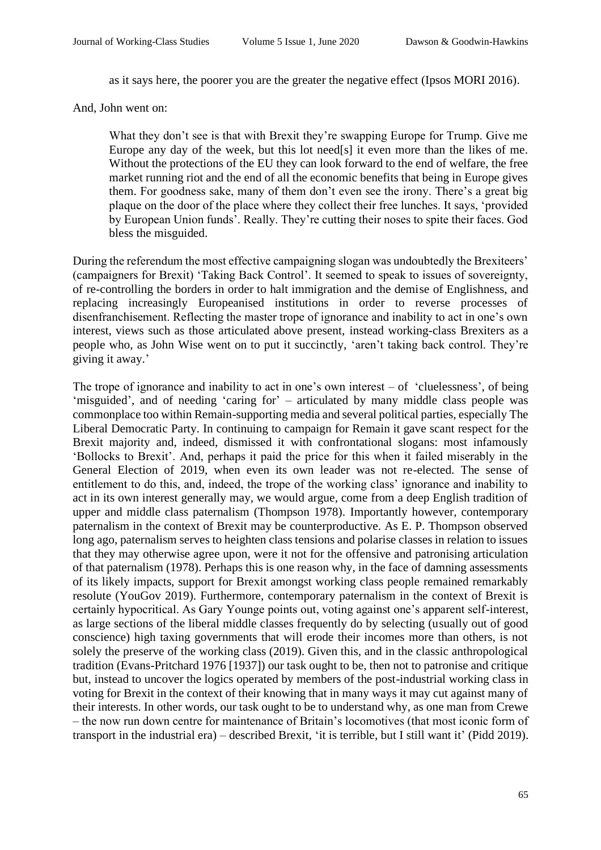as it says here, the poorer you are the greater the negative effect (Ipsos MORI 2016).

And, John went on:

What they don't see is that with Brexit they're swapping Europe for Trump. Give me Europe any day of the week, but this lot need[s] it even more than the likes of me. Without the protections of the EU they can look forward to the end of welfare, the free market running riot and the end of all the economic benefits that being in Europe gives them. For goodness sake, many of them don't even see the irony. There's a great big plaque on the door of the place where they collect their free lunches. It says, 'provided by European Union funds'. Really. They're cutting their noses to spite their faces. God bless the misguided.

During the referendum the most effective campaigning slogan was undoubtedly the Brexiteers' (campaigners for Brexit) 'Taking Back Control'. It seemed to speak to issues of sovereignty, of re-controlling the borders in order to halt immigration and the demise of Englishness, and replacing increasingly Europeanised institutions in order to reverse processes of disenfranchisement. Reflecting the master trope of ignorance and inability to act in one's own interest, views such as those articulated above present, instead working-class Brexiters as a people who, as John Wise went on to put it succinctly, 'aren't taking back control. They're giving it away.'

The trope of ignorance and inability to act in one's own interest  $-$  of 'cluelessness', of being 'misguided', and of needing 'caring for' – articulated by many middle class people was commonplace too within Remain-supporting media and several political parties, especially The Liberal Democratic Party. In continuing to campaign for Remain it gave scant respect for the Brexit majority and, indeed, dismissed it with confrontational slogans: most infamously 'Bollocks to Brexit'. And, perhaps it paid the price for this when it failed miserably in the General Election of 2019, when even its own leader was not re-elected. The sense of entitlement to do this, and, indeed, the trope of the working class' ignorance and inability to act in its own interest generally may, we would argue, come from a deep English tradition of upper and middle class paternalism (Thompson 1978). Importantly however, contemporary paternalism in the context of Brexit may be counterproductive. As E. P. Thompson observed long ago, paternalism serves to heighten class tensions and polarise classes in relation to issues that they may otherwise agree upon, were it not for the offensive and patronising articulation of that paternalism (1978). Perhaps this is one reason why, in the face of damning assessments of its likely impacts, support for Brexit amongst working class people remained remarkably resolute (YouGov 2019). Furthermore, contemporary paternalism in the context of Brexit is certainly hypocritical. As Gary Younge points out, voting against one's apparent self-interest, as large sections of the liberal middle classes frequently do by selecting (usually out of good conscience) high taxing governments that will erode their incomes more than others, is not solely the preserve of the working class (2019). Given this, and in the classic anthropological tradition (Evans-Pritchard 1976 [1937]) our task ought to be, then not to patronise and critique but, instead to uncover the logics operated by members of the post-industrial working class in voting for Brexit in the context of their knowing that in many ways it may cut against many of their interests. In other words, our task ought to be to understand why, as one man from Crewe – the now run down centre for maintenance of Britain's locomotives (that most iconic form of transport in the industrial era) – described Brexit, 'it is terrible, but I still want it' (Pidd 2019).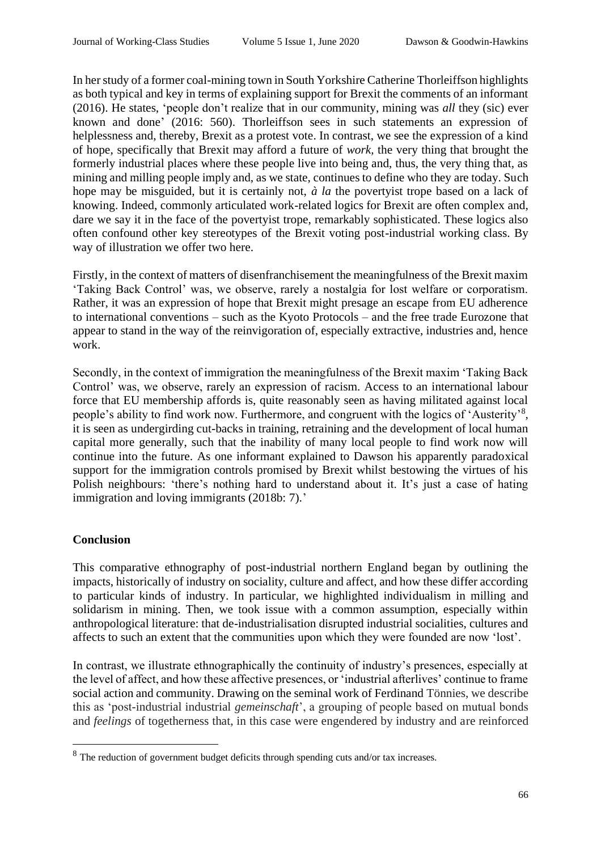In her study of a former coal-mining town in South Yorkshire Catherine Thorleiffson highlights as both typical and key in terms of explaining support for Brexit the comments of an informant (2016). He states, 'people don't realize that in our community, mining was *all* they (sic) ever known and done' (2016: 560). Thorleiffson sees in such statements an expression of helplessness and, thereby, Brexit as a protest vote. In contrast, we see the expression of a kind of hope, specifically that Brexit may afford a future of *work,* the very thing that brought the formerly industrial places where these people live into being and, thus, the very thing that, as mining and milling people imply and, as we state, continues to define who they are today. Such hope may be misguided, but it is certainly not, *à la* the povertyist trope based on a lack of knowing. Indeed, commonly articulated work-related logics for Brexit are often complex and, dare we say it in the face of the povertyist trope, remarkably sophisticated. These logics also often confound other key stereotypes of the Brexit voting post-industrial working class. By way of illustration we offer two here.

Firstly, in the context of matters of disenfranchisement the meaningfulness of the Brexit maxim 'Taking Back Control' was, we observe, rarely a nostalgia for lost welfare or corporatism. Rather, it was an expression of hope that Brexit might presage an escape from EU adherence to international conventions – such as the Kyoto Protocols – and the free trade Eurozone that appear to stand in the way of the reinvigoration of, especially extractive, industries and, hence work.

Secondly, in the context of immigration the meaningfulness of the Brexit maxim 'Taking Back Control' was, we observe, rarely an expression of racism. Access to an international labour force that EU membership affords is, quite reasonably seen as having militated against local people's ability to find work now. Furthermore, and congruent with the logics of 'Austerity'<sup>8</sup>, it is seen as undergirding cut-backs in training, retraining and the development of local human capital more generally, such that the inability of many local people to find work now will continue into the future. As one informant explained to Dawson his apparently paradoxical support for the immigration controls promised by Brexit whilst bestowing the virtues of his Polish neighbours: 'there's nothing hard to understand about it. It's just a case of hating immigration and loving immigrants (2018b: 7).'

### **Conclusion**

This comparative ethnography of post-industrial northern England began by outlining the impacts, historically of industry on sociality, culture and affect, and how these differ according to particular kinds of industry. In particular, we highlighted individualism in milling and solidarism in mining. Then, we took issue with a common assumption, especially within anthropological literature: that de-industrialisation disrupted industrial socialities, cultures and affects to such an extent that the communities upon which they were founded are now 'lost'.

In contrast, we illustrate ethnographically the continuity of industry's presences, especially at the level of affect, and how these affective presences, or 'industrial afterlives' continue to frame social action and community. Drawing on the seminal work of Ferdinand Tönnies, we describe this as 'post-industrial industrial *gemeinschaft*', a grouping of people based on mutual bonds and *feelings* of togetherness that, in this case were engendered by industry and are reinforced

 $8$  The reduction of government budget deficits through spending cuts and/or tax increases.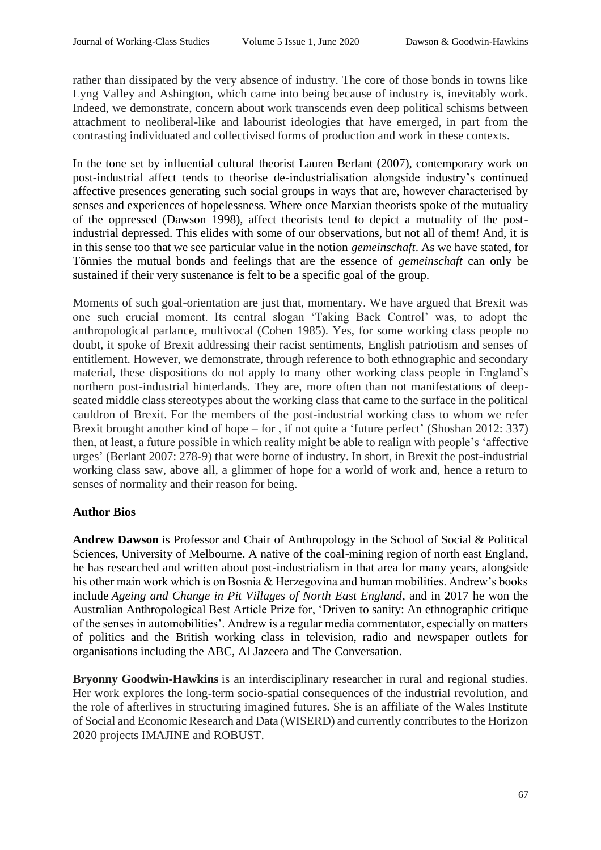rather than dissipated by the very absence of industry. The core of those bonds in towns like Lyng Valley and Ashington, which came into being because of industry is, inevitably work. Indeed, we demonstrate, concern about work transcends even deep political schisms between attachment to neoliberal-like and labourist ideologies that have emerged, in part from the contrasting individuated and collectivised forms of production and work in these contexts.

In the tone set by influential cultural theorist Lauren Berlant (2007), contemporary work on post-industrial affect tends to theorise de-industrialisation alongside industry's continued affective presences generating such social groups in ways that are, however characterised by senses and experiences of hopelessness. Where once Marxian theorists spoke of the mutuality of the oppressed (Dawson 1998), affect theorists tend to depict a mutuality of the postindustrial depressed. This elides with some of our observations, but not all of them! And, it is in this sense too that we see particular value in the notion *gemeinschaft*. As we have stated, for Tönnies the mutual bonds and feelings that are the essence of *gemeinschaft* can only be sustained if their very sustenance is felt to be a specific goal of the group.

Moments of such goal-orientation are just that, momentary. We have argued that Brexit was one such crucial moment. Its central slogan 'Taking Back Control' was, to adopt the anthropological parlance, multivocal (Cohen 1985). Yes, for some working class people no doubt, it spoke of Brexit addressing their racist sentiments, English patriotism and senses of entitlement. However, we demonstrate, through reference to both ethnographic and secondary material, these dispositions do not apply to many other working class people in England's northern post-industrial hinterlands. They are, more often than not manifestations of deepseated middle class stereotypes about the working class that came to the surface in the political cauldron of Brexit. For the members of the post-industrial working class to whom we refer Brexit brought another kind of hope – for , if not quite a 'future perfect' (Shoshan 2012: 337) then, at least, a future possible in which reality might be able to realign with people's 'affective urges' (Berlant 2007: 278-9) that were borne of industry. In short, in Brexit the post-industrial working class saw, above all, a glimmer of hope for a world of work and, hence a return to senses of normality and their reason for being.

### **Author Bios**

**Andrew Dawson** is Professor and Chair of Anthropology in the School of Social & Political Sciences, University of Melbourne. A native of the coal-mining region of north east England, he has researched and written about post-industrialism in that area for many years, alongside his other main work which is on Bosnia & Herzegovina and human mobilities. Andrew's books include *Ageing and Change in Pit Villages of North East England*, and in 2017 he won the Australian Anthropological Best Article Prize for, 'Driven to sanity: An ethnographic critique of the senses in automobilities'. Andrew is a regular media commentator, especially on matters of politics and the British working class in television, radio and newspaper outlets for organisations including the ABC, Al Jazeera and The Conversation.

**Bryonny Goodwin-Hawkins** is an interdisciplinary researcher in rural and regional studies. Her work explores the long-term socio-spatial consequences of the industrial revolution, and the role of afterlives in structuring imagined futures. She is an affiliate of the Wales Institute of Social and Economic Research and Data (WISERD) and currently contributes to the Horizon 2020 projects IMAJINE and ROBUST.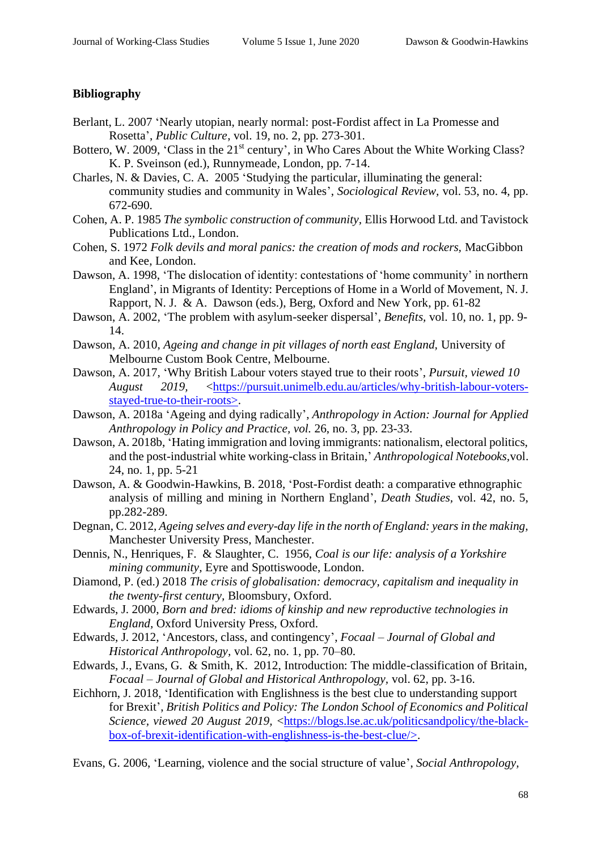## **Bibliography**

- Berlant, L. 2007 'Nearly utopian, nearly normal: post-Fordist affect in La Promesse and Rosetta', *Public Culture*, vol. 19, no. 2, pp. 273-301.
- Bottero, W. 2009, 'Class in the 21<sup>st</sup> century', in Who Cares About the White Working Class? K. P. Sveinson (ed.), Runnymeade, London, pp. 7-14.
- Charles, N. & Davies, C. A. 2005 'Studying the particular, illuminating the general: community studies and community in Wales', *Sociological Review,* vol. 53, no. 4, pp. 672-690.
- Cohen, A. P. 1985 *The symbolic construction of community,* Ellis Horwood Ltd. and Tavistock Publications Ltd., London.
- Cohen, S. 1972 *Folk devils and moral panics: the creation of mods and rockers,* MacGibbon and Kee, London.
- Dawson, A. 1998, 'The dislocation of identity: contestations of 'home community' in northern England', in Migrants of Identity: Perceptions of Home in a World of Movement, N. J. Rapport*,* N. J. & A. Dawson (eds.), Berg, Oxford and New York, pp. 61-82
- Dawson, A. 2002, 'The problem with asylum-seeker dispersal', *Benefits,* vol. 10, no. 1, pp. 9- 14.
- Dawson, A. 2010, *Ageing and change in pit villages of north east England,* University of Melbourne Custom Book Centre, Melbourne.
- Dawson, A. 2017, 'Why British Labour voters stayed true to their roots', *Pursuit, viewed 10 August 2019,* [<https://pursuit.unimelb.edu.au/articles/why-british-labour-voters](https://pursuit.unimelb.edu.au/articles/why-british-labour-voters-stayed-true-to-their-roots)[stayed-true-to-their-roots>](https://pursuit.unimelb.edu.au/articles/why-british-labour-voters-stayed-true-to-their-roots).
- Dawson, A. 2018a 'Ageing and dying radically', *Anthropology in Action: Journal for Applied Anthropology in Policy and Practice, vol.* 26, no. 3, pp. 23-33.
- Dawson, A. 2018b, 'Hating immigration and loving immigrants: nationalism, electoral politics, and the post-industrial white working-class in Britain,' *Anthropological Notebooks,*vol. 24, no. 1, pp. 5-21
- Dawson, A. & Goodwin-Hawkins, B. 2018, 'Post-Fordist death: a comparative ethnographic analysis of milling and mining in Northern England', *Death Studies,* vol. 42, no. 5, pp.282-289.
- Degnan, C. 2012, *Ageing selves and every-day life in the north of England: years in the making,* Manchester University Press, Manchester.
- Dennis, N., Henriques, F. & Slaughter, C. 1956, *Coal is our life: analysis of a Yorkshire mining community,* Eyre and Spottiswoode, London.
- Diamond, P. (ed.) 2018 *The crisis of globalisation: democracy, capitalism and inequality in the twenty-first century,* Bloomsbury, Oxford.
- Edwards, J. 2000, *Born and bred: idioms of kinship and new reproductive technologies in England,* Oxford University Press, Oxford.
- Edwards, J. 2012, 'Ancestors, class, and contingency', *Focaal – Journal of Global and Historical Anthropology,* vol. 62, no. 1, pp. 70–80.
- Edwards, J., Evans, G. & Smith, K. 2012, Introduction: The middle-classification of Britain, *Focaal – Journal of Global and Historical Anthropology,* vol. 62, pp. 3-16.
- Eichhorn, J. 2018, 'Identification with Englishness is the best clue to understanding support for Brexit', *British Politics and Policy: The London School of Economics and Political Science, viewed 20 August 2019, [<https://blogs.lse.ac.uk/politicsandpolicy/the-black](about:blank)*[box-of-brexit-identification-with-englishness-is-the-best-clue/>](about:blank).

Evans, G. 2006, 'Learning, violence and the social structure of value', *Social Anthropology,*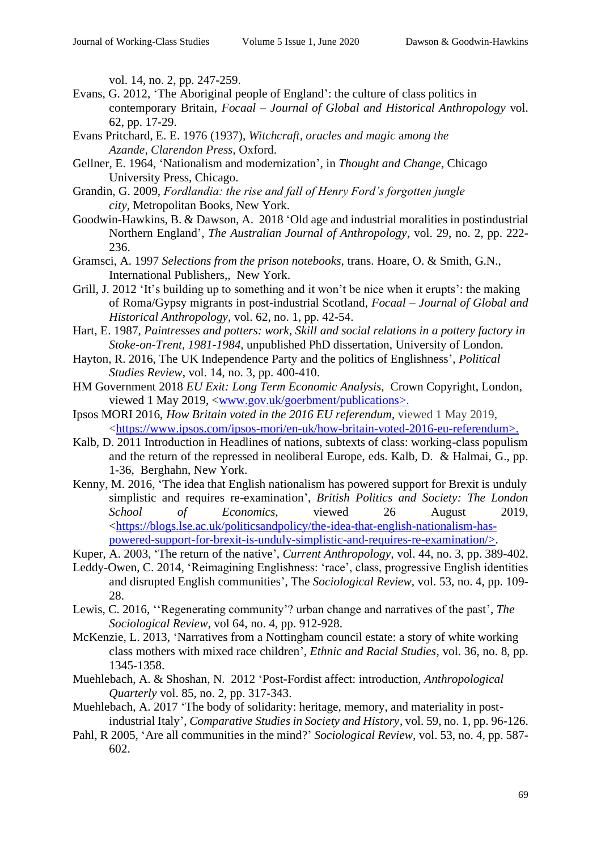vol. 14, no. 2, pp. 247-259.

- Evans, G. 2012, 'The Aboriginal people of England': the culture of class politics in contemporary Britain, *Focaal – Journal of Global and Historical Anthropology* vol. 62, pp. 17-29.
- Evans Pritchard, E. E. 1976 (1937), *Witchcraft, oracles and magic* a*mong the Azande, Clarendon Press,* Oxford.
- Gellner, E. 1964, 'Nationalism and modernization', in *Thought and Change*, Chicago University Press, Chicago.
- Grandin, G. 2009, *Fordlandia: the rise and fall of Henry Ford's forgotten jungle city,* Metropolitan Books, New York.
- Goodwin-Hawkins, B. & Dawson, A. 2018 'Old age and industrial moralities in postindustrial Northern England', *The Australian Journal of Anthropology*, vol. 29, no. 2, pp. 222- 236.
- Gramsci, A. 1997 *Selections from the prison notebooks,* trans. Hoare, O. & Smith, G.N., International Publishers,, New York.
- Grill, J. 2012 'It's building up to something and it won't be nice when it erupts': the making of Roma/Gypsy migrants in post-industrial Scotland, *Focaal – Journal of Global and Historical Anthropology,* vol. 62, no. 1, pp. 42-54.
- Hart, E. 1987, *Paintresses and potters: work, Skill and social relations in a pottery factory in Stoke-on-Trent, 1981-1984,* unpublished PhD dissertation, University of London.
- Hayton, R. 2016, The UK Independence Party and the politics of Englishness', *Political Studies Review*, vol. 14, no. 3, pp. 400-410.
- HM Government 2018 *EU Exit: Long Term Economic Analysis,* Crown Copyright, London, viewed 1 May 2019, [<www.gov.uk/goerbment/publications>](about:blank).
- Ipsos MORI 2016, *How Britain voted in the 2016 EU referendum*, viewed 1 May 2019, [<https://www.ipsos.com/ipsos-mori/en-uk/how-britain-voted-2016-eu-referendum>](about:blank).
- Kalb, D. 2011 Introduction in Headlines of nations, subtexts of class: working-class populism and the return of the repressed in neoliberal Europe, eds. Kalb*,* D. & Halmai, G., pp. 1-36, Berghahn, New York.
- Kenny, M. 2016, 'The idea that English nationalism has powered support for Brexit is unduly simplistic and requires re-examination', *British Politics and Society: The London School of Economics*, viewed 26 August 2019, [<https://blogs.lse.ac.uk/politicsandpolicy/the-idea-that-english-nationalism-has](about:blank)[powered-support-for-brexit-is-unduly-simplistic-and-requires-re-examination/>](about:blank).
- Kuper, A. 2003, 'The return of the native', *Current Anthropology,* vol. 44, no. 3, pp. 389-402.
- Leddy-Owen, C. 2014, 'Reimagining Englishness: 'race', class, progressive English identities and disrupted English communities', The *Sociological Review,* vol. 53, no. 4, pp. 109- 28.
- Lewis, C. 2016, ''Regenerating community'? urban change and narratives of the past', *The Sociological Review*, vol 64, no. 4, pp. 912-928.
- McKenzie, L. 2013, 'Narratives from a Nottingham council estate: a story of white working class mothers with mixed race children', *Ethnic and Racial Studies*, vol. 36, no. 8, pp. 1345-1358.
- Muehlebach, A. & Shoshan, N. 2012 'Post-Fordist affect: introduction, *Anthropological Quarterly* vol. 85, no. 2, pp. 317-343.
- Muehlebach, A. 2017 'The body of solidarity: heritage, memory, and materiality in postindustrial Italy', *Comparative Studies in Society and History*, vol. 59, no. 1, pp. 96-126.
- Pahl, R 2005, 'Are all communities in the mind?' *Sociological Review,* vol. 53, no. 4, pp. 587- 602.